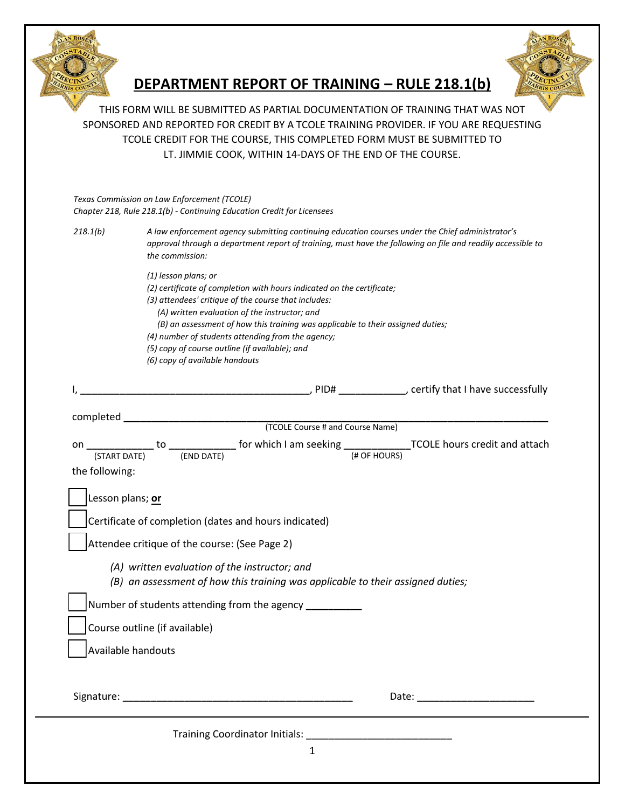

## **DEPARTMENT REPORT OF TRAINING – RULE 218.1(b)**



THIS FORM WILL BE SUBMITTED AS PARTIAL DOCUMENTATION OF TRAINING THAT WAS NOT SPONSORED AND REPORTED FOR CREDIT BY A TCOLE TRAINING PROVIDER. IF YOU ARE REQUESTING TCOLE CREDIT FOR THE COURSE, THIS COMPLETED FORM MUST BE SUBMITTED TO LT. JIMMIE COOK, WITHIN 14-DAYS OF THE END OF THE COURSE.

*Texas Commission on Law Enforcement (TCOLE) Chapter 218, Rule 218.1(b) - Continuing Education Credit for Licensees* 

| Chapter 218, Rule 218.1(b) - Continuing Education Credit for Licensees |                                                                                                                                                                                                                                    |
|------------------------------------------------------------------------|------------------------------------------------------------------------------------------------------------------------------------------------------------------------------------------------------------------------------------|
| 218.1(b)                                                               | A law enforcement agency submitting continuing education courses under the Chief administrator's<br>approval through a department report of training, must have the following on file and readily accessible to<br>the commission: |

- *(1) lesson plans; or*
- *(2) certificate of completion with hours indicated on the certificate;*
- *(3) attendees' critique of the course that includes:*
	- *(A) written evaluation of the instructor; and*
	- *(B) an assessment of how this training was applicable to their assigned duties;*
- *(4) number of students attending from the agency;*
- *(5) copy of course outline (if available); and*
- *(6) copy of available handouts*

| the following:                                                                  |  |  |  |
|---------------------------------------------------------------------------------|--|--|--|
|                                                                                 |  |  |  |
| Lesson plans; or                                                                |  |  |  |
| Certificate of completion (dates and hours indicated)                           |  |  |  |
| Attendee critique of the course: (See Page 2)                                   |  |  |  |
| (A) written evaluation of the instructor; and                                   |  |  |  |
| (B) an assessment of how this training was applicable to their assigned duties; |  |  |  |
| Number of students attending from the agency __________                         |  |  |  |
| Course outline (if available)                                                   |  |  |  |
| Available handouts                                                              |  |  |  |
|                                                                                 |  |  |  |
| Date:                                                                           |  |  |  |

Training Coordinator Initials: